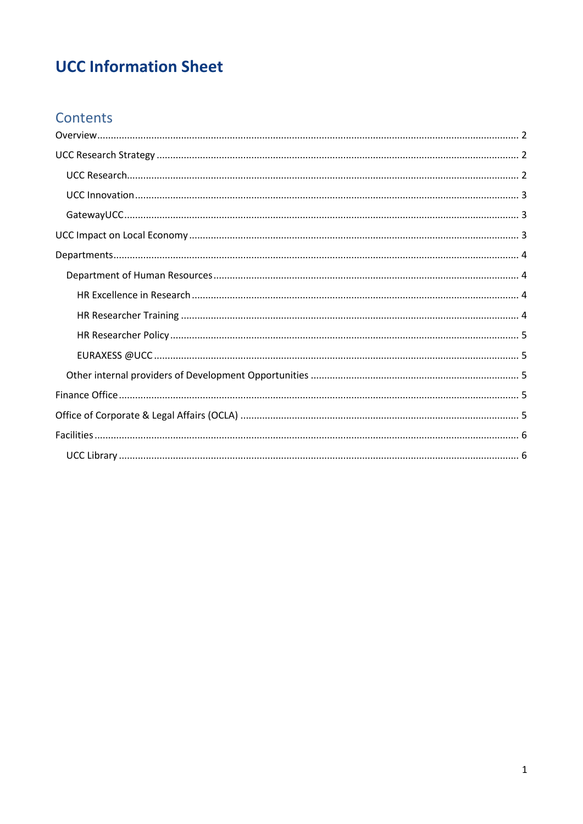# **UCC Information Sheet**

# Contents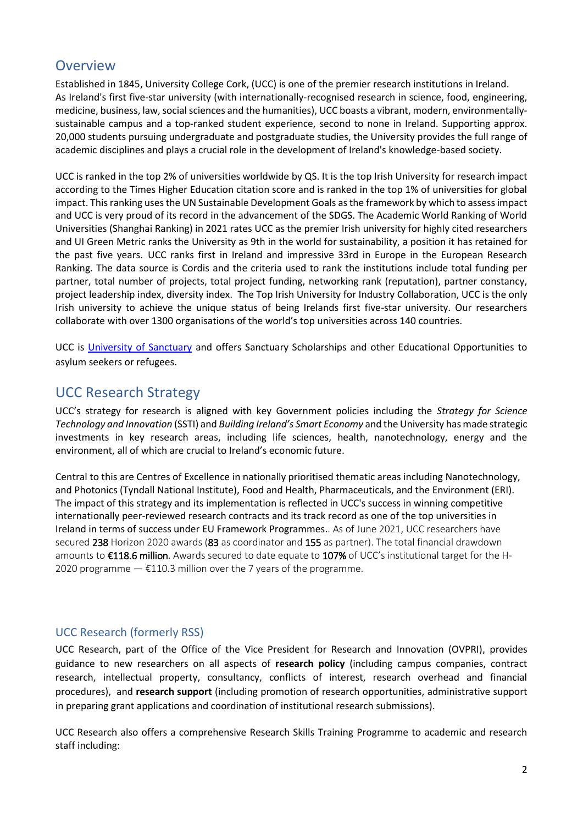## <span id="page-1-0"></span>**Overview**

Established in 1845, University College Cork, (UCC) is one of the premier research institutions in Ireland. As Ireland's first five-star university (with internationally-recognised research in science, food, engineering, medicine, business, law, social sciences and the humanities), UCC boasts a vibrant, modern, environmentallysustainable campus and a top-ranked student experience, second to none in Ireland. Supporting approx. 20,000 students pursuing undergraduate and postgraduate studies, the University provides the full range of academic disciplines and plays a crucial role in the development of Ireland's knowledge-based society.

UCC is ranked in the top 2% of universities worldwide by QS. It is the top Irish University for research impact according to the Times Higher Education citation score and is ranked in the top 1% of universities for global impact. This ranking uses the UN Sustainable Development Goals as the framework by which to assess impact and UCC is very proud of its record in the advancement of the SDGS. The Academic World Ranking of World Universities (Shanghai Ranking) in 2021 rates UCC as the premier Irish university for highly cited researchers and UI Green Metric ranks the University as 9th in the world for sustainability, a position it has retained for the past five years. UCC ranks first in Ireland and impressive 33rd in Europe in the European Research Ranking. The data source is Cordis and the criteria used to rank the institutions include total funding per partner, total number of projects, total project funding, networking rank (reputation), partner constancy, project leadership index, diversity index. The Top Irish University for Industry Collaboration, UCC is the only Irish university to achieve the unique status of being Irelands first five-star university. Our researchers collaborate with over 1300 organisations of the world's top universities across 140 countries.

UCC is [University of Sanctuary](https://www.ucc.ie/en/edi/universityofsanctuary/) and offers Sanctuary Scholarships and other Educational Opportunities to asylum seekers or refugees.

# <span id="page-1-1"></span>UCC Research Strategy

UCC's strategy for research is aligned with key Government policies including the *Strategy for Science Technology and Innovation* (SSTI) and *Building Ireland's Smart Economy* and the University has made strategic investments in key research areas, including life sciences, health, nanotechnology, energy and the environment, all of which are crucial to Ireland's economic future.

Central to this are Centres of Excellence in nationally prioritised thematic areas including Nanotechnology, and Photonics (Tyndall National Institute), Food and Health, Pharmaceuticals, and the Environment (ERI). The impact of this strategy and its implementation is reflected in UCC's success in winning competitive internationally peer-reviewed research contracts and its track record as one of the top universities in Ireland in terms of success under EU Framework Programmes.. As of June 2021, UCC researchers have secured 238 Horizon 2020 awards (83 as coordinator and 155 as partner). The total financial drawdown amounts to €118.6 million. Awards secured to date equate to 107% of UCC's institutional target for the H-2020 programme  $-$  £110.3 million over the 7 years of the programme.

### <span id="page-1-2"></span>UCC Research (formerly RSS)

UCC Research, part of the Office of the Vice President for Research and Innovation (OVPRI), provides guidance to new researchers on all aspects of **research policy** (including campus companies, contract research, intellectual property, consultancy, conflicts of interest, research overhead and financial procedures), and **research support** (including promotion of research opportunities, administrative support in preparing grant applications and coordination of institutional research submissions).

UCC Research also offers a comprehensive Research Skills Training Programme to academic and research staff including: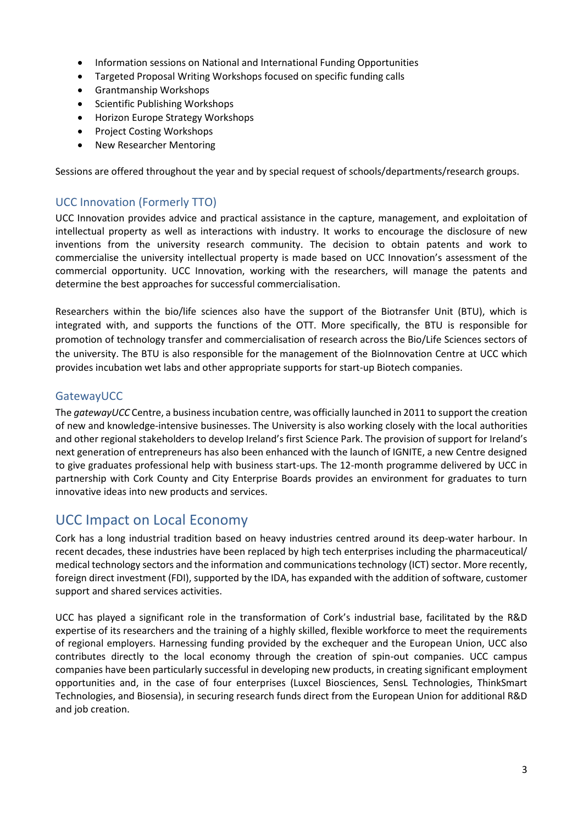- Information sessions on National and International Funding Opportunities
- Targeted Proposal Writing Workshops focused on specific funding calls
- Grantmanship Workshops
- Scientific Publishing Workshops
- Horizon Europe Strategy Workshops
- Project Costing Workshops
- New Researcher Mentoring

Sessions are offered throughout the year and by special request of schools/departments/research groups.

### <span id="page-2-0"></span>UCC Innovation (Formerly TTO)

UCC Innovation provides advice and practical assistance in the capture, management, and exploitation of intellectual property as well as interactions with industry. It works to encourage the disclosure of new inventions from the university research community. The decision to obtain patents and work to commercialise the university intellectual property is made based on UCC Innovation's assessment of the commercial opportunity. UCC Innovation, working with the researchers, will manage the patents and determine the best approaches for successful commercialisation.

Researchers within the bio/life sciences also have the support of the Biotransfer Unit (BTU), which is integrated with, and supports the functions of the OTT. More specifically, the BTU is responsible for promotion of technology transfer and commercialisation of research across the Bio/Life Sciences sectors of the university. The BTU is also responsible for the management of the BioInnovation Centre at UCC which provides incubation wet labs and other appropriate supports for start-up Biotech companies.

### <span id="page-2-1"></span>GatewayUCC

The *gatewayUCC* Centre, a business incubation centre, was officially launched in 2011 to support the creation of new and knowledge-intensive businesses. The University is also working closely with the local authorities and other regional stakeholders to develop Ireland's first Science Park. The provision of support for Ireland's next generation of entrepreneurs has also been enhanced with the launch of IGNITE, a new Centre designed to give graduates professional help with business start-ups. The 12-month programme delivered by UCC in partnership with Cork County and City Enterprise Boards provides an environment for graduates to turn innovative ideas into new products and services.

# <span id="page-2-2"></span>UCC Impact on Local Economy

Cork has a long industrial tradition based on heavy industries centred around its deep-water harbour. In recent decades, these industries have been replaced by high tech enterprises including the pharmaceutical/ medical technology sectors and the information and communications technology (ICT) sector. More recently, foreign direct investment (FDI), supported by the IDA, has expanded with the addition of software, customer support and shared services activities.

UCC has played a significant role in the transformation of Cork's industrial base, facilitated by the R&D expertise of its researchers and the training of a highly skilled, flexible workforce to meet the requirements of regional employers. Harnessing funding provided by the exchequer and the European Union, UCC also contributes directly to the local economy through the creation of spin-out companies. UCC campus companies have been particularly successful in developing new products, in creating significant employment opportunities and, in the case of four enterprises (Luxcel Biosciences, SensL Technologies, ThinkSmart Technologies, and Biosensia), in securing research funds direct from the European Union for additional R&D and job creation.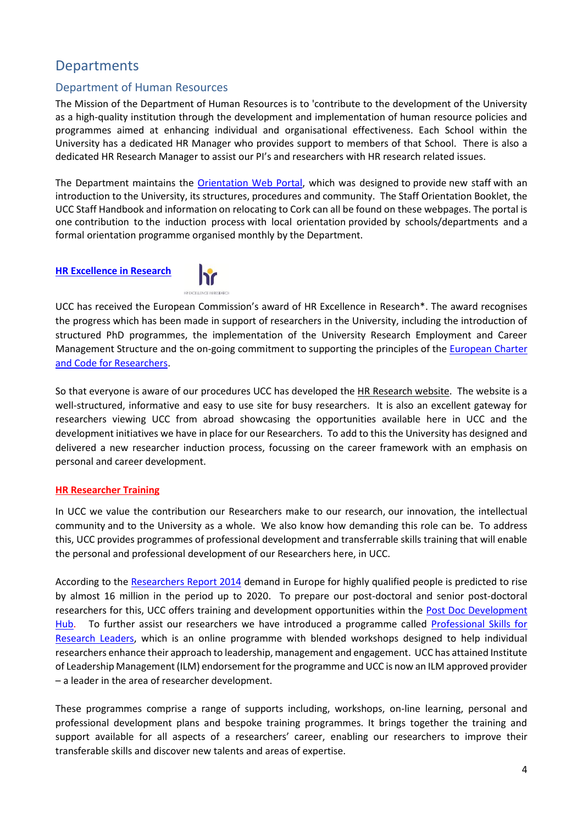## <span id="page-3-0"></span>**Departments**

#### <span id="page-3-1"></span>Department of Human Resources

The Mission of the Department of Human Resources is to 'contribute to the development of the University as a high-quality institution through the development and implementation of human resource policies and programmes aimed at enhancing individual and organisational effectiveness. Each School within the University has a dedicated HR Manager who provides support to members of that School. There is also a dedicated HR Research Manager to assist our PI's and researchers with HR research related issues.

The Department maintains the [Orientation Web Portal,](https://www.ucc.ie/en/hr/wellbeingdevelopment/orientation/) which was designed to provide new staff with an introduction to the University, its structures, procedures and community. The Staff Orientation Booklet, the UCC Staff Handbook and information on relocating to Cork can all be found on these webpages. The portal is one contribution to the induction process with local orientation provided by schools/departments and a formal orientation programme organised monthly by the Department.

#### <span id="page-3-2"></span>**[HR Excellence in Research](https://www.ucc.ie/en/hr/research/uccresearcherstrategy/)**



UCC has received the European Commission's award of HR Excellence in Research\*. The award recognises the progress which has been made in support of researchers in the University, including the introduction of structured PhD programmes, the implementation of the University Research Employment and Career Management Structure and the on-going commitment to supporting the principles of the [European Charter](https://euraxess.ec.europa.eu/sweden/information-and-assistance/charter-code-researchers)  [and Code for Researchers.](https://euraxess.ec.europa.eu/sweden/information-and-assistance/charter-code-researchers)

So that everyone is aware of our procedures UCC has developed the [HR Research website.](http://www.ucc.ie/en/hrresearch/) The website is a well-structured, informative and easy to use site for busy researchers. It is also an excellent gateway for researchers viewing UCC from abroad showcasing the opportunities available here in UCC and the development initiatives we have in place for our Researchers. To add to this the University has designed and delivered a new researcher induction process, focussing on the career framework with an emphasis on personal and career development.

#### <span id="page-3-3"></span>**[HR Researcher Training](https://www.ucc.ie/en/hr/research/researchertraining/)**

In UCC we value the contribution our Researchers make to our research, our innovation, the intellectual community and to the University as a whole. We also know how demanding this role can be. To address this, UCC provides programmes of professional development and transferrable skills training that will enable the personal and professional development of our Researchers here, in UCC.

According to the [Researchers Report 2014](http://ec.europa.eu/euraxess/pdf/research_policies/Researchers%20Report%202014_FINAL%20REPORT.pdf) demand in Europe for highly qualified people is predicted to rise by almost 16 million in the period up to 2020. To prepare our post-doctoral and senior post-doctoral researchers for this, UCC offers training and development opportunities within the [Post Doc Development](https://www.ucc.ie/en/hr/research/devhub/)  [Hub.](https://www.ucc.ie/en/hr/research/devhub/) To further assist our researchers we have introduced a programme called Professional Skills for [Research Leaders,](http://www.ucc.ie/en/hrresearch/psrl/) which is an online programme with blended workshops designed to help individual researchers enhance their approach to leadership, management and engagement. UCC has attained Institute of Leadership Management (ILM) endorsement for the programme and UCC is now an ILM approved provider – a leader in the area of researcher development.

These programmes comprise a range of supports including, workshops, on-line learning, personal and professional development plans and bespoke training programmes. It brings together the training and support available for all aspects of a researchers' career, enabling our researchers to improve their transferable skills and discover new talents and areas of expertise.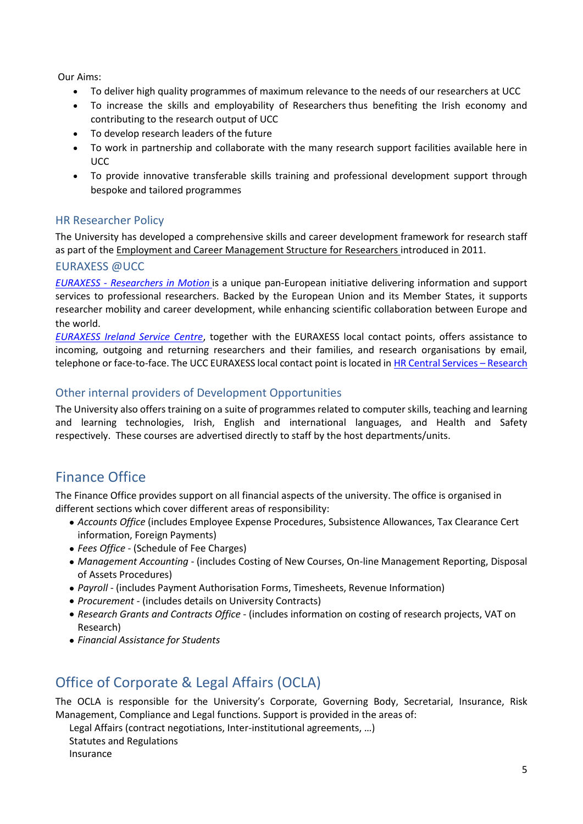Our Aims:

- To deliver high quality programmes of maximum relevance to the needs of our researchers at UCC
- To increase the skills and employability of Researchers thus benefiting the Irish economy and contributing to the research output of UCC
- To develop research leaders of the future
- To work in partnership and collaborate with the many research support facilities available here in UCC
- To provide innovative transferable skills training and professional development support through bespoke and tailored programmes

### <span id="page-4-0"></span>HR Researcher Policy

The University has developed a comprehensive skills and career development framework for research staff as part of the [Employment and Career Management Structure for Researchers](https://www.ucc.ie/en/hr/research/uccresearchhrpolicy/hrresearchpolicy/) introduced in 2011.

### <span id="page-4-1"></span>EURAXESS @UCC

*EURAXESS - [Researchers in Motion](https://euraxess.ec.europa.eu/)* is a unique pan-European initiative delivering information and support services to professional researchers. Backed by the European Union and its Member States, it supports researcher mobility and career development, while enhancing scientific collaboration between Europe and the world.

*[EURAXESS Ireland Service Centre](https://www.euraxess.ie/)*, together with the EURAXESS local contact points, offers assistance to incoming, outgoing and returning researchers and their families, and research organisations by email, telephone or face-to-face. The UCC EURAXESS local contact point islocated in [HR Central Services](mailto:niamh.buckley@ucc.ie) – Research

### <span id="page-4-2"></span>Other internal providers of Development Opportunities

The University also offers training on a suite of programmes related to computer skills, teaching and learning and learning technologies, Irish, English and international languages, and Health and Safety respectively. These courses are advertised directly to staff by the host departments/units.

# <span id="page-4-3"></span>Finance Office

The Finance Office provides support on all financial aspects of the university. The office is organised in different sections which cover different areas of responsibility:

- *Accounts Office* (includes Employee Expense Procedures, Subsistence Allowances, Tax Clearance Cert information, Foreign Payments)
- *Fees Office* (Schedule of Fee Charges)
- *Management Accounting* (includes Costing of New Courses, On-line Management Reporting, Disposal of Assets Procedures)
- *Payroll -* (includes Payment Authorisation Forms, Timesheets, Revenue Information)
- *Procurement -* (includes details on University Contracts)
- *Research Grants and Contracts Office* (includes information on costing of research projects, VAT on Research)
- *Financial Assistance for Students*

# <span id="page-4-4"></span>Office of Corporate & Legal Affairs (OCLA)

The OCLA is responsible for the University's Corporate, Governing Body, Secretarial, Insurance, Risk Management, Compliance and Legal functions. Support is provided in the areas of:

Legal Affairs (contract negotiations, Inter-institutional agreements, …)

Statutes and Regulations

Insurance